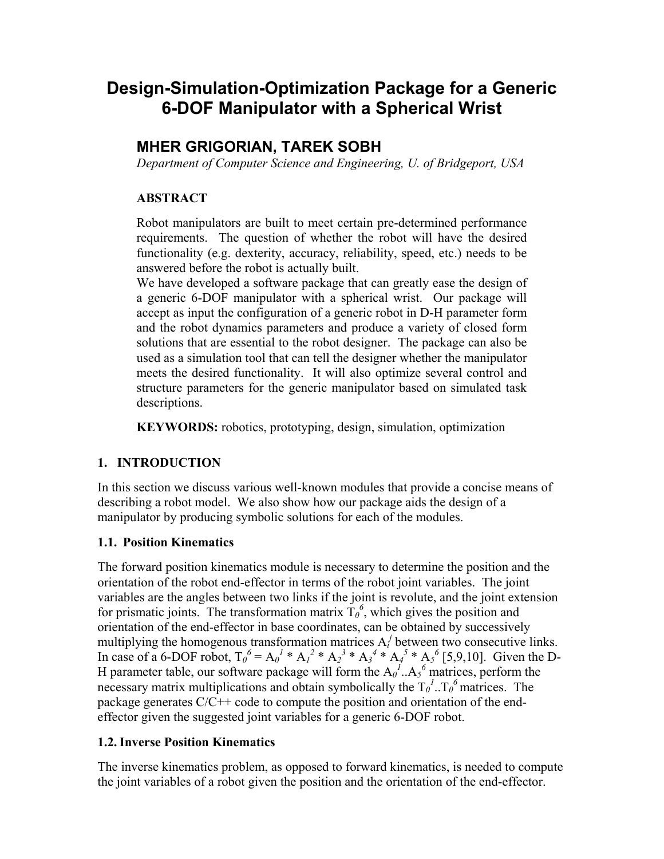# **Design-Simulation-Optimization Package for a Generic 6-DOF Manipulator with a Spherical Wrist**

# **MHER GRIGORIAN, TAREK SOBH**

*Department of Computer Science and Engineering, U. of Bridgeport, USA* 

# **ABSTRACT**

Robot manipulators are built to meet certain pre-determined performance requirements. The question of whether the robot will have the desired functionality (e.g. dexterity, accuracy, reliability, speed, etc.) needs to be answered before the robot is actually built.

We have developed a software package that can greatly ease the design of a generic 6-DOF manipulator with a spherical wrist. Our package will accept as input the configuration of a generic robot in D-H parameter form and the robot dynamics parameters and produce a variety of closed form solutions that are essential to the robot designer. The package can also be used as a simulation tool that can tell the designer whether the manipulator meets the desired functionality. It will also optimize several control and structure parameters for the generic manipulator based on simulated task descriptions.

**KEYWORDS:** robotics, prototyping, design, simulation, optimization

# **1. INTRODUCTION**

In this section we discuss various well-known modules that provide a concise means of describing a robot model. We also show how our package aids the design of a manipulator by producing symbolic solutions for each of the modules.

# **1.1. Position Kinematics**

The forward position kinematics module is necessary to determine the position and the orientation of the robot end-effector in terms of the robot joint variables. The joint variables are the angles between two links if the joint is revolute, and the joint extension for prismatic joints. The transformation matrix  $T_0^{\delta}$ , which gives the position and orientation of the end-effector in base coordinates, can be obtained by successively multiplying the homogenous transformation matrices  $A_i^j$  between two consecutive links. In case of a 6-DOF robot,  $T_0^6 = A_0^1 A A_1^2 A A_2^3 A A_3^4 A A_4^5 A A_5^6$  [5,9,10]. Given the D-H parameter table, our software package will form the  $A_0^I$ .  $A_5^I$  matrices, perform the necessary matrix multiplications and obtain symbolically the  $T_0^1$ .  $T_0^0$  matrices. The package generates  $C/C++$  code to compute the position and orientation of the endeffector given the suggested joint variables for a generic 6-DOF robot.

# **1.2. Inverse Position Kinematics**

The inverse kinematics problem, as opposed to forward kinematics, is needed to compute the joint variables of a robot given the position and the orientation of the end-effector.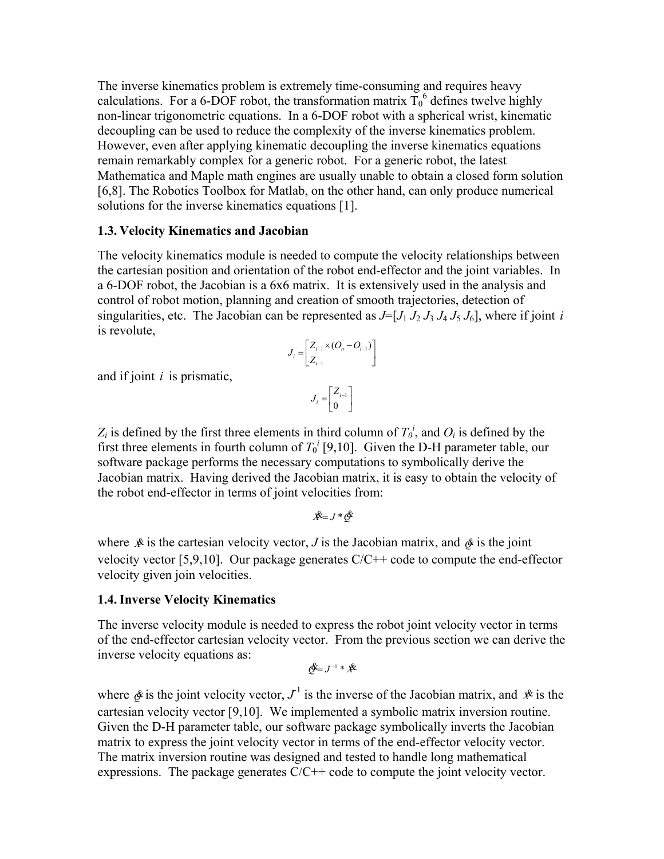The inverse kinematics problem is extremely time-consuming and requires heavy calculations. For a 6-DOF robot, the transformation matrix  $T_0^6$  defines twelve highly non-linear trigonometric equations. In a 6-DOF robot with a spherical wrist, kinematic decoupling can be used to reduce the complexity of the inverse kinematics problem. However, even after applying kinematic decoupling the inverse kinematics equations remain remarkably complex for a generic robot. For a generic robot, the latest Mathematica and Maple math engines are usually unable to obtain a closed form solution [6,8]. The Robotics Toolbox for Matlab, on the other hand, can only produce numerical solutions for the inverse kinematics equations [1].

# **1.3. Velocity Kinematics and Jacobian**

The velocity kinematics module is needed to compute the velocity relationships between the cartesian position and orientation of the robot end-effector and the joint variables. In a 6-DOF robot, the Jacobian is a 6x6 matrix. It is extensively used in the analysis and control of robot motion, planning and creation of smooth trajectories, detection of singularities, etc. The Jacobian can be represented as  $J=[J_1 J_2 J_3 J_4 J_5 J_6]$ , where if joint *i* is revolute,

$$
J_{i} = \begin{bmatrix} Z_{i-1} \times (O_{n} - O_{i-1}) \\ Z_{i-1} \end{bmatrix}
$$

and if joint *i* is prismatic,

 $\left[\begin{matrix} Z_{i-1}\ 0 \end{matrix}\right]$  $=\begin{vmatrix} Z_{i-} \\ 0 \end{vmatrix}$  $\frac{1}{i} = \frac{1}{i} \sum_{i=1}^{i}$  $J_i = \begin{bmatrix} Z \\ 2 \end{bmatrix}$ 

 $Z_i$  is defined by the first three elements in third column of  $T_0^i$ , and  $O_i$  is defined by the first three elements in fourth column of  $T_0^i$  [9,10]. Given the D-H parameter table, our software package performs the necessary computations to symbolically derive the Jacobian matrix. Having derived the Jacobian matrix, it is easy to obtain the velocity of the robot end-effector in terms of joint velocities from:

*X* &= *J* \**Q*&

where  $\mathcal{R}$  is the cartesian velocity vector, *J* is the Jacobian matrix, and  $\mathcal{Q}$  is the joint velocity vector [5,9,10]. Our package generates  $C/C++$  code to compute the end-effector velocity given join velocities.

#### **1.4. Inverse Velocity Kinematics**

The inverse velocity module is needed to express the robot joint velocity vector in terms of the end-effector cartesian velocity vector. From the previous section we can derive the inverse velocity equations as:

*Q*&= *J* <sup>−</sup><sup>1</sup> \* *X* &

where  $\φ$  is the joint velocity vector,  $J^1$  is the inverse of the Jacobian matrix, and  $\φ$  is the cartesian velocity vector [9,10]. We implemented a symbolic matrix inversion routine. Given the D-H parameter table, our software package symbolically inverts the Jacobian matrix to express the joint velocity vector in terms of the end-effector velocity vector. The matrix inversion routine was designed and tested to handle long mathematical expressions. The package generates  $C/C++$  code to compute the joint velocity vector.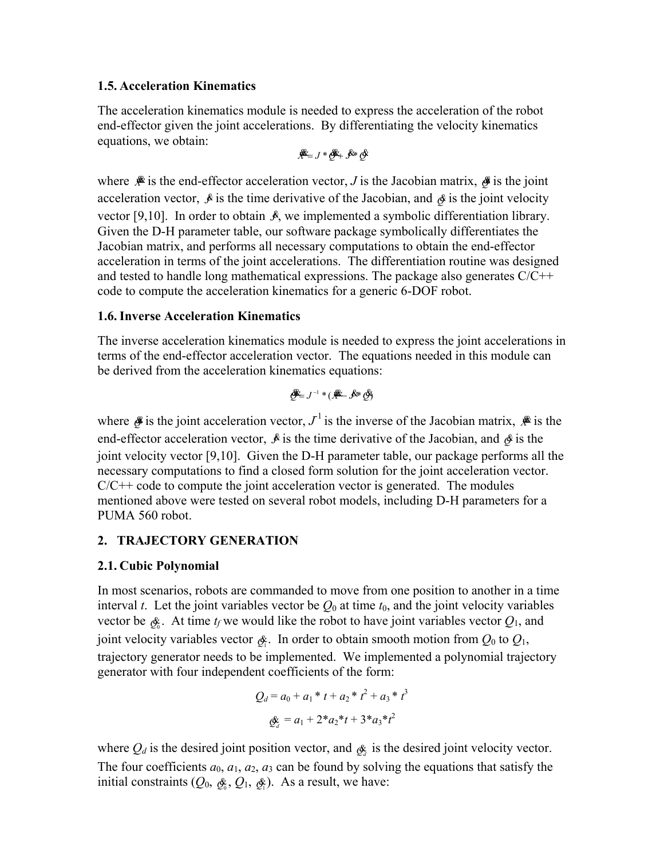### **1.5. Acceleration Kinematics**

The acceleration kinematics module is needed to express the acceleration of the robot end-effector given the joint accelerations. By differentiating the velocity kinematics equations, we obtain:

$$
\mathbf{X} = J \ast \mathbf{X} + \mathbf{X} \ast \mathbf{X}
$$

where  $\mathbb{R}$  is the end-effector acceleration vector, *J* is the Jacobian matrix,  $\mathcal{F}$  is the joint acceleration vector,  $\hat{\mathcal{S}}$  is the time derivative of the Jacobian, and  $\hat{\mathcal{S}}$  is the joint velocity vector [9,10]. In order to obtain  $\mathcal{A}$ , we implemented a symbolic differentiation library. Given the D-H parameter table, our software package symbolically differentiates the Jacobian matrix, and performs all necessary computations to obtain the end-effector acceleration in terms of the joint accelerations. The differentiation routine was designed and tested to handle long mathematical expressions. The package also generates C/C++ code to compute the acceleration kinematics for a generic 6-DOF robot.

### **1.6. Inverse Acceleration Kinematics**

The inverse acceleration kinematics module is needed to express the joint accelerations in terms of the end-effector acceleration vector. The equations needed in this module can be derived from the acceleration kinematics equations:

$$
\mathbf{A} = J^{-1} * (\mathbf{A} - \mathbf{A} * \mathbf{A})
$$

where  $\mathcal{F}$  is the joint acceleration vector,  $J^1$  is the inverse of the Jacobian matrix,  $\mathcal{F}$  is the end-effector acceleration vector,  $\hat{\mathcal{R}}$  is the time derivative of the Jacobian, and  $\hat{\mathcal{Q}}$  is the joint velocity vector [9,10]. Given the D-H parameter table, our package performs all the necessary computations to find a closed form solution for the joint acceleration vector.  $C/C++$  code to compute the joint acceleration vector is generated. The modules mentioned above were tested on several robot models, including D-H parameters for a PUMA 560 robot.

# **2. TRAJECTORY GENERATION**

#### **2.1. Cubic Polynomial**

In most scenarios, robots are commanded to move from one position to another in a time interval *t*. Let the joint variables vector be  $Q_0$  at time  $t_0$ , and the joint velocity variables vector be  $g_0$ . At time  $t_f$  we would like the robot to have joint variables vector  $Q_1$ , and joint velocity variables vector  $\mathcal{A}_1$ . In order to obtain smooth motion from  $Q_0$  to  $Q_1$ , trajectory generator needs to be implemented. We implemented a polynomial trajectory generator with four independent coefficients of the form:

$$
Q_d = a_0 + a_1 * t + a_2 * t^2 + a_3 * t^3
$$
  

$$
\underset{Q_d}{\&} = a_1 + 2 * a_2 * t + 3 * a_3 * t^2
$$

where  $Q_d$  is the desired joint position vector, and  $q_d$  is the desired joint velocity vector. The four coefficients  $a_0$ ,  $a_1$ ,  $a_2$ ,  $a_3$  can be found by solving the equations that satisfy the initial constraints  $(Q_0, \underset{\infty}{\&}$ ,  $Q_1, \underset{\infty}{\&}$ . As a result, we have: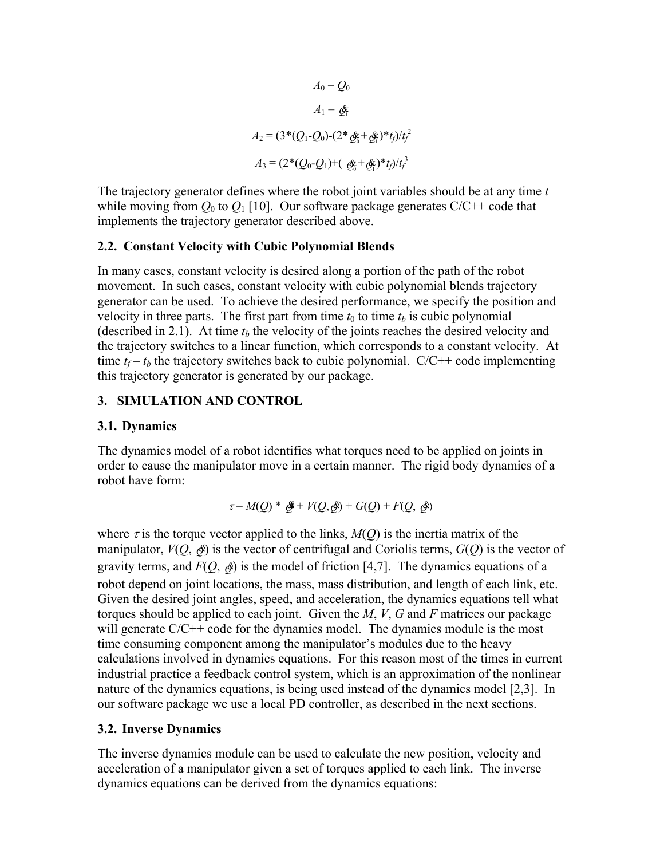$$
A_0 = Q_0
$$
  
\n
$$
A_1 = \underset{\alpha}{\mathfrak{G}} \mathfrak{F}
$$
  
\n
$$
A_2 = (3^*(Q_1 - Q_0) - (2^*\underset{\alpha}{\mathfrak{G}} + \underset{\alpha}{\mathfrak{G}})^* t_f)t_f^2
$$
  
\n
$$
A_3 = (2^*(Q_0 - Q_1) + (\underset{\alpha}{\mathfrak{G}} + \underset{\alpha}{\mathfrak{G}})^* t_f)t_f^3
$$

The trajectory generator defines where the robot joint variables should be at any time *t* while moving from  $Q_0$  to  $Q_1$  [10]. Our software package generates  $C/C$ ++ code that implements the trajectory generator described above.

#### **2.2. Constant Velocity with Cubic Polynomial Blends**

In many cases, constant velocity is desired along a portion of the path of the robot movement. In such cases, constant velocity with cubic polynomial blends trajectory generator can be used. To achieve the desired performance, we specify the position and velocity in three parts. The first part from time  $t_0$  to time  $t_b$  is cubic polynomial (described in 2.1). At time  $t_b$  the velocity of the joints reaches the desired velocity and the trajectory switches to a linear function, which corresponds to a constant velocity. At time  $t_f - t_b$  the trajectory switches back to cubic polynomial.  $C/C++$  code implementing this trajectory generator is generated by our package.

# **3. SIMULATION AND CONTROL**

#### **3.1. Dynamics**

The dynamics model of a robot identifies what torques need to be applied on joints in order to cause the manipulator move in a certain manner. The rigid body dynamics of a robot have form:

$$
\tau = M(Q) * \mathcal{J} + V(Q, \mathcal{J}) + G(Q) + F(Q, \mathcal{J})
$$

where  $\tau$  is the torque vector applied to the links,  $M(Q)$  is the inertia matrix of the manipulator,  $V(Q, \phi)$  is the vector of centrifugal and Coriolis terms,  $G(Q)$  is the vector of gravity terms, and  $F(Q, \phi)$  is the model of friction [4,7]. The dynamics equations of a robot depend on joint locations, the mass, mass distribution, and length of each link, etc. Given the desired joint angles, speed, and acceleration, the dynamics equations tell what torques should be applied to each joint. Given the *M*, *V*, *G* and *F* matrices our package will generate  $C/C++$  code for the dynamics model. The dynamics module is the most time consuming component among the manipulator's modules due to the heavy calculations involved in dynamics equations. For this reason most of the times in current industrial practice a feedback control system, which is an approximation of the nonlinear nature of the dynamics equations, is being used instead of the dynamics model [2,3]. In our software package we use a local PD controller, as described in the next sections.

#### **3.2. Inverse Dynamics**

The inverse dynamics module can be used to calculate the new position, velocity and acceleration of a manipulator given a set of torques applied to each link. The inverse dynamics equations can be derived from the dynamics equations: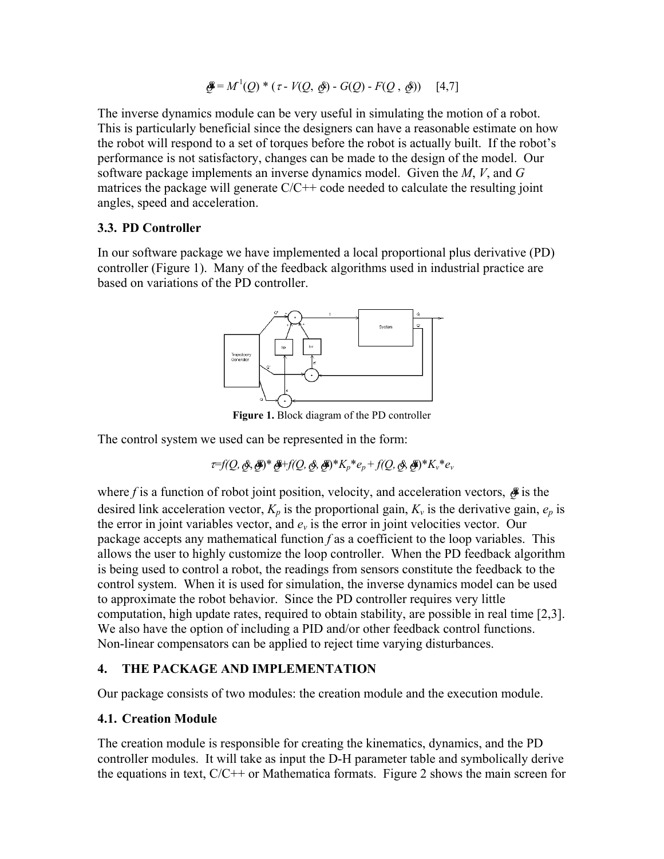$$
\mathcal{F} = M^1(Q) * (\tau - V(Q, \mathcal{F}) - G(Q) - F(Q, \mathcal{F})) \quad [4,7]
$$

The inverse dynamics module can be very useful in simulating the motion of a robot. This is particularly beneficial since the designers can have a reasonable estimate on how the robot will respond to a set of torques before the robot is actually built. If the robot's performance is not satisfactory, changes can be made to the design of the model. Our software package implements an inverse dynamics model. Given the *M*, *V*, and *G* matrices the package will generate  $C/C++$  code needed to calculate the resulting joint angles, speed and acceleration.

# **3.3. PD Controller**

In our software package we have implemented a local proportional plus derivative (PD) controller (Figure 1). Many of the feedback algorithms used in industrial practice are based on variations of the PD controller.



**Figure 1.** Block diagram of the PD controller

The control system we used can be represented in the form:

$$
\tau=f(Q,\mathcal{Q},\mathcal{Q})^*\mathcal{Q}^+f(Q,\mathcal{Q},\mathcal{Q})^*K_p^*e_p+f(Q,\mathcal{Q},\mathcal{Q})^*K_v^*e_v
$$

where *f* is a function of robot joint position, velocity, and acceleration vectors,  $\mathcal{F}$  is the desired link acceleration vector,  $K_p$  is the proportional gain,  $K_v$  is the derivative gain,  $e_p$  is the error in joint variables vector, and  $e<sub>v</sub>$  is the error in joint velocities vector. Our package accepts any mathematical function *f* as a coefficient to the loop variables. This allows the user to highly customize the loop controller. When the PD feedback algorithm is being used to control a robot, the readings from sensors constitute the feedback to the control system. When it is used for simulation, the inverse dynamics model can be used to approximate the robot behavior. Since the PD controller requires very little computation, high update rates, required to obtain stability, are possible in real time [2,3]. We also have the option of including a PID and/or other feedback control functions. Non-linear compensators can be applied to reject time varying disturbances.

# **4. THE PACKAGE AND IMPLEMENTATION**

Our package consists of two modules: the creation module and the execution module.

# **4.1. Creation Module**

The creation module is responsible for creating the kinematics, dynamics, and the PD controller modules. It will take as input the D-H parameter table and symbolically derive the equations in text,  $C/C++$  or Mathematica formats. Figure 2 shows the main screen for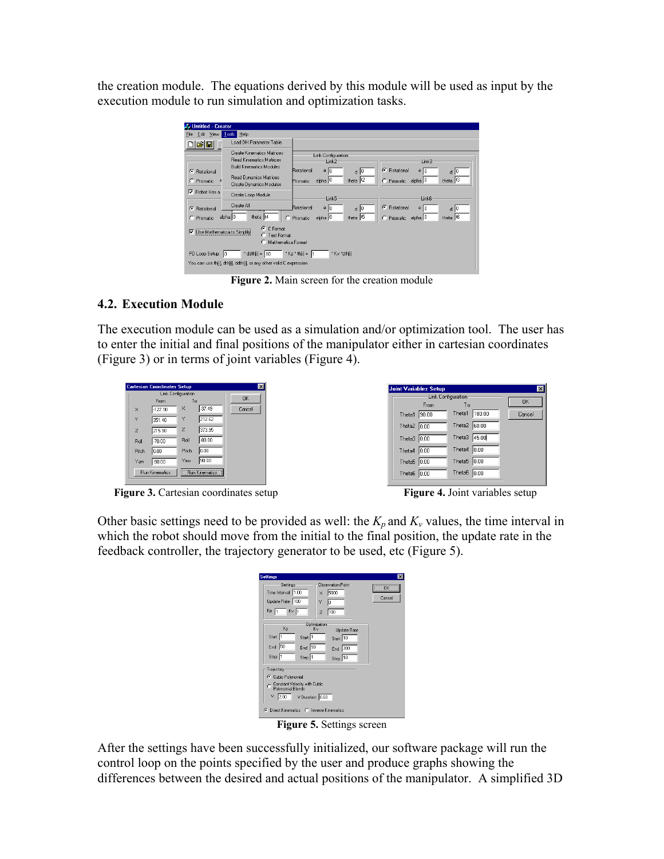the creation module. The equations derived by this module will be used as input by the execution module to run simulation and optimization tasks.

| <b>J. Untitled - Creator</b>                                                                                                                                                                      |                                                                                                                                                                                           |  |  |  |  |  |  |
|---------------------------------------------------------------------------------------------------------------------------------------------------------------------------------------------------|-------------------------------------------------------------------------------------------------------------------------------------------------------------------------------------------|--|--|--|--|--|--|
| Edit View Tools Help<br>File                                                                                                                                                                      |                                                                                                                                                                                           |  |  |  |  |  |  |
| Load DH Parameter Table<br><b>BB</b>                                                                                                                                                              |                                                                                                                                                                                           |  |  |  |  |  |  |
| Create Kinematics Matrices<br><b>Bead Kinematics Matrices</b><br><b>Build Kinematics Modules</b><br>$\sigma$<br>Rotational<br>Read Dynamics Matrices<br>C<br>Prismatic<br>Create Dynamics Modules | Link Configuration<br>Link3<br>Link2<br>C Rotational<br>Rotational<br>$a_{10}$<br>a<br>d 0<br>d 10<br>theta 12<br>theta $ 13 $<br>alpha <sup>10</sup><br>C Prismatic alpha 0<br>Prismatic |  |  |  |  |  |  |
| ஈ<br>Robot Has a<br>Create Loop Module<br>Create All<br>G.<br>Rotational<br>theta  t4<br>alpha 0<br>$\subset$<br>Prismatic                                                                        | Link5<br>Link6<br><b>C</b> Rotational<br>Rotational<br>$a _0$<br>$a_{0}$<br>d 0<br>d 10<br>theta 6<br>theta 6<br>alpha 0<br>C Prismatic alpha 0<br>Prismatic                              |  |  |  |  |  |  |
| $F \subset$ Format<br>V Use Mathematica to Simplify<br><b>C</b> Text Format<br>Mathematica Format                                                                                                 |                                                                                                                                                                                           |  |  |  |  |  |  |
| * Kv *dth[i]<br>PD Loop Setup: 0<br>$*$ Kp $*$ th[i] + 1<br>* ddth[i] + 10<br>You can use th[i], dth[i], ddth[i], or any other valid C expression                                                 |                                                                                                                                                                                           |  |  |  |  |  |  |

**Figure 2.** Main screen for the creation module

# **4.2. Execution Module**

The execution module can be used as a simulation and/or optimization tool. The user has to enter the initial and final positions of the manipulator either in cartesian coordinates (Figure 3) or in terms of joint variables (Figure 4).

|                | Cartesian Coordinates Setup |              |                       | ×         |
|----------------|-----------------------------|--------------|-----------------------|-----------|
|                | Link Configuration          |              |                       | <b>OK</b> |
|                | From                        | To           |                       |           |
| $\times$       | $-127.90$                   | ×            | $-37.49$              | Cancel    |
| Ÿ              | 351.40                      | Ÿ            | 212.62                |           |
| $\overline{z}$ | 215.90                      | $\mathbb{Z}$ | 373.95                |           |
| Roll           | $-70.00$                    | Roll         | $-80.00$              |           |
| Pitch          | 0.00                        | Pitch        | 10.00                 |           |
| Yaw            | $-90.00$                    | Yaw          | 190.00                |           |
|                | <b>Run Kinematics</b>       |              | <b>Run Kinematics</b> |           |
|                |                             |              |                       |           |

| <b>Joint Variables Setup</b> |                           |               |  |           |
|------------------------------|---------------------------|---------------|--|-----------|
|                              | <b>Link Configuration</b> |               |  |           |
|                              | From                      | To            |  | <b>DK</b> |
| Theta1 90.00                 |                           | Theta1 180.00 |  | Cancel    |
| Theta2 $\boxed{0.00}$        |                           | Theta2 60.00  |  |           |
| Theta3 0.00                  |                           | Theta3 45.00  |  |           |
| Theta4 $ 0.00$               |                           | Theta4 $0.00$ |  |           |
| Theta5 $0.00$                |                           | Theta5 $0.00$ |  |           |
| Theta6 0.00                  |                           | Theta6 $0.00$ |  |           |

**Figure 3.** Cartesian coordinates setup **Figure 4.** Joint variables setup

Other basic settings need to be provided as well: the  $K_p$  and  $K_v$  values, the time interval in which the robot should move from the initial to the final position, the update rate in the feedback controller, the trajectory generator to be used, etc (Figure 5).

| <b>Settings</b>                                                                                                                                                           |              |  |  |  |  |
|---------------------------------------------------------------------------------------------------------------------------------------------------------------------------|--------------|--|--|--|--|
| Observation Point<br>Settings<br>Time Interval 1.00<br>5000<br>×<br>Update Rate 100<br>Ÿ<br>I٥<br>$Kv$ 1<br>$Kp$ 1<br>100<br>Z                                            | ÖK<br>Cancel |  |  |  |  |
| Optimization<br>Kp<br>Kv<br><b>Update Rate</b><br>Start 1<br>Start 1<br>Start 10<br>End $\overline{50}$<br>$End$ 50<br>$End$ 300<br>Step 1<br>Step 1<br>Step $\boxed{10}$ |              |  |  |  |  |
| Trajectory<br>C Cubic Polynomial<br>Constant Velocity with Cubic<br><b>Polynomial Blends</b><br>V: 2.00<br>V Duration: 0.60<br>C Direct Kinematics C Inverse Kinematics   |              |  |  |  |  |

**Figure 5.** Settings screen

After the settings have been successfully initialized, our software package will run the control loop on the points specified by the user and produce graphs showing the differences between the desired and actual positions of the manipulator. A simplified 3D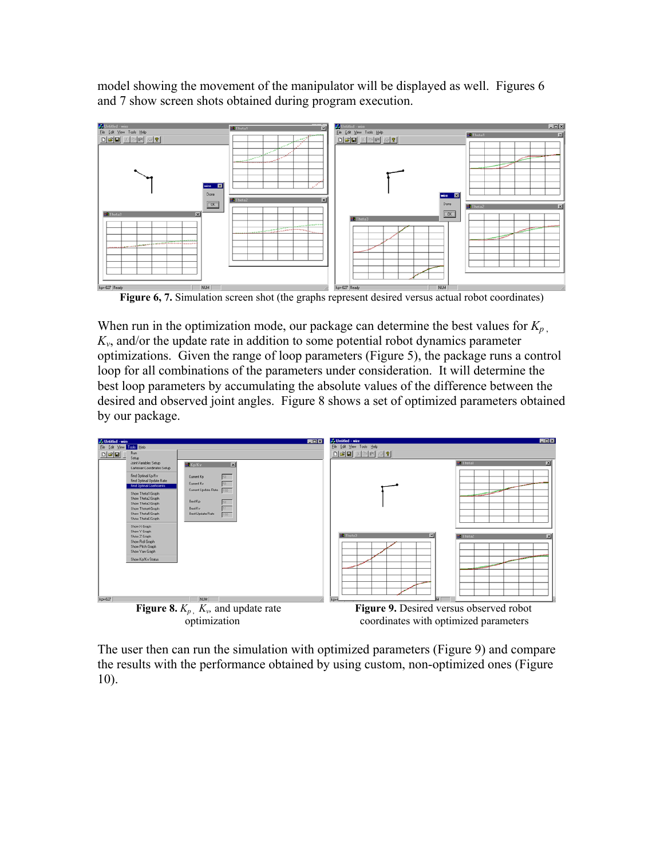model showing the movement of the manipulator will be displayed as well. Figures 6 and 7 show screen shots obtained during program execution.



**Figure 6, 7.** Simulation screen shot (the graphs represent desired versus actual robot coordinates)

When run in the optimization mode, our package can determine the best values for  $K_p$ , *Kv*, and/or the update rate in addition to some potential robot dynamics parameter optimizations. Given the range of loop parameters (Figure 5), the package runs a control loop for all combinations of the parameters under consideration. It will determine the best loop parameters by accumulating the absolute values of the difference between the desired and observed joint angles. Figure 8 shows a set of optimized parameters obtained by our package.



coordinates with optimized parameters

The user then can run the simulation with optimized parameters (Figure 9) and compare the results with the performance obtained by using custom, non-optimized ones (Figure 10).